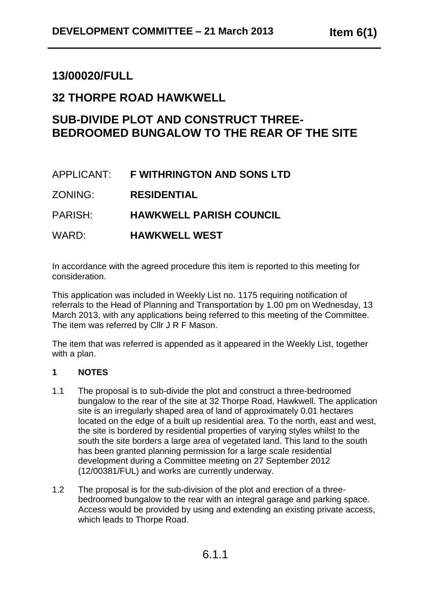# **13/00020/FULL**

# **32 THORPE ROAD HAWKWELL**

# **SUB-DIVIDE PLOT AND CONSTRUCT THREE-BEDROOMED BUNGALOW TO THE REAR OF THE SITE**

# APPLICANT: **F WITHRINGTON AND SONS LTD**

ZONING: **RESIDENTIAL**

PARISH: **HAWKWELL PARISH COUNCIL**

WARD: **HAWKWELL WEST**

In accordance with the agreed procedure this item is reported to this meeting for consideration.

This application was included in Weekly List no. 1175 requiring notification of referrals to the Head of Planning and Transportation by 1.00 pm on Wednesday, 13 March 2013, with any applications being referred to this meeting of the Committee. The item was referred by Cllr J R F Mason.

The item that was referred is appended as it appeared in the Weekly List, together with a plan.

## **1 NOTES**

- 1.1 The proposal is to sub-divide the plot and construct a three-bedroomed bungalow to the rear of the site at 32 Thorpe Road, Hawkwell. The application site is an irregularly shaped area of land of approximately 0.01 hectares located on the edge of a built up residential area. To the north, east and west, the site is bordered by residential properties of varying styles whilst to the south the site borders a large area of vegetated land. This land to the south has been granted planning permission for a large scale residential development during a Committee meeting on 27 September 2012 (12/00381/FUL) and works are currently underway.
- 1.2 The proposal is for the sub-division of the plot and erection of a threebedroomed bungalow to the rear with an integral garage and parking space. Access would be provided by using and extending an existing private access, which leads to Thorpe Road.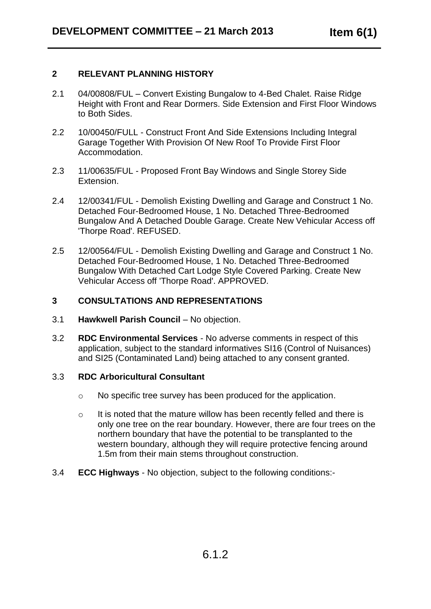### **2 RELEVANT PLANNING HISTORY**

- 2.1 04/00808/FUL Convert Existing Bungalow to 4-Bed Chalet. Raise Ridge Height with Front and Rear Dormers. Side Extension and First Floor Windows to Both Sides.
- 2.2 10/00450/FULL Construct Front And Side Extensions Including Integral Garage Together With Provision Of New Roof To Provide First Floor Accommodation.
- 2.3 11/00635/FUL Proposed Front Bay Windows and Single Storey Side Extension.
- 2.4 12/00341/FUL Demolish Existing Dwelling and Garage and Construct 1 No. Detached Four-Bedroomed House, 1 No. Detached Three-Bedroomed Bungalow And A Detached Double Garage. Create New Vehicular Access off 'Thorpe Road'. REFUSED.
- 2.5 12/00564/FUL Demolish Existing Dwelling and Garage and Construct 1 No. Detached Four-Bedroomed House, 1 No. Detached Three-Bedroomed Bungalow With Detached Cart Lodge Style Covered Parking. Create New Vehicular Access off 'Thorpe Road'. APPROVED.

#### **3 CONSULTATIONS AND REPRESENTATIONS**

- 3.1 **Hawkwell Parish Council** No objection.
- 3.2 **RDC Environmental Services** No adverse comments in respect of this application, subject to the standard informatives SI16 (Control of Nuisances) and SI25 (Contaminated Land) being attached to any consent granted.

#### 3.3 **RDC Arboricultural Consultant**

- o No specific tree survey has been produced for the application.
- o It is noted that the mature willow has been recently felled and there is only one tree on the rear boundary. However, there are four trees on the northern boundary that have the potential to be transplanted to the western boundary, although they will require protective fencing around 1.5m from their main stems throughout construction.
- 3.4 **ECC Highways** No objection, subject to the following conditions:-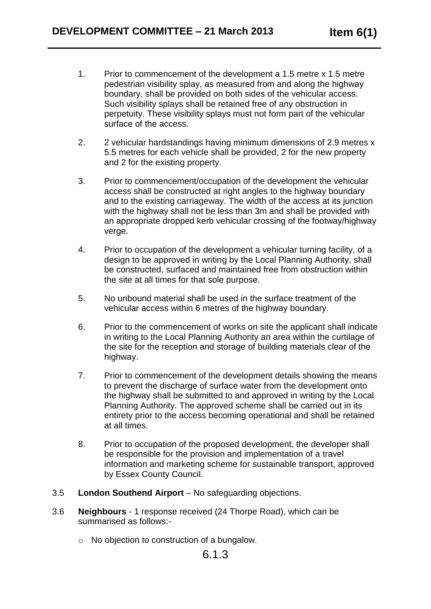- 1. Prior to commencement of the development a 1.5 metre x 1.5 metre pedestrian visibility splay, as measured from and along the highway boundary, shall be provided on both sides of the vehicular access. Such visibility splays shall be retained free of any obstruction in perpetuity. These visibility splays must not form part of the vehicular surface of the access.
- 2. 2 vehicular hardstandings having minimum dimensions of 2.9 metres x 5.5 metres for each vehicle shall be provided, 2 for the new property and 2 for the existing property.
- 3. Prior to commencement/occupation of the development the vehicular access shall be constructed at right angles to the highway boundary and to the existing carriageway. The width of the access at its junction with the highway shall not be less than 3m and shall be provided with an appropriate dropped kerb vehicular crossing of the footway/highway verge.
- 4. Prior to occupation of the development a vehicular turning facility, of a design to be approved in writing by the Local Planning Authority, shall be constructed, surfaced and maintained free from obstruction within the site at all times for that sole purpose.
- 5. No unbound material shall be used in the surface treatment of the vehicular access within 6 metres of the highway boundary.
- 6. Prior to the commencement of works on site the applicant shall indicate in writing to the Local Planning Authority an area within the curtilage of the site for the reception and storage of building materials clear of the highway.
- 7. Prior to commencement of the development details showing the means to prevent the discharge of surface water from the development onto the highway shall be submitted to and approved in writing by the Local Planning Authority. The approved scheme shall be carried out in its entirety prior to the access becoming operational and shall be retained at all times.
- 8. Prior to occupation of the proposed development, the developer shall be responsible for the provision and implementation of a travel information and marketing scheme for sustainable transport, approved by Essex County Council.
- 3.5 **London Southend Airport**  No safeguarding objections.
- 3.6 **Neighbours** 1 response received (24 Thorpe Road), which can be summarised as follows:
	- o No objection to construction of a bungalow.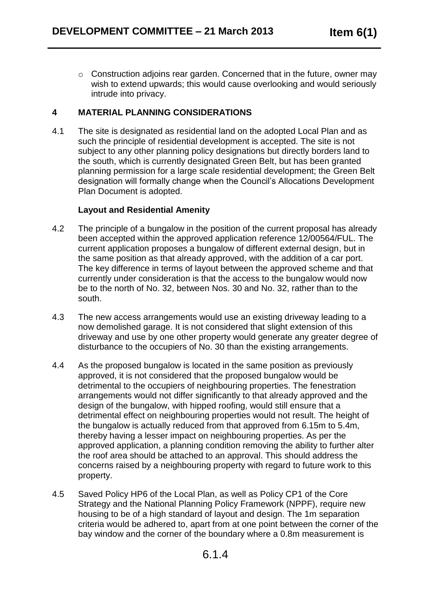o Construction adjoins rear garden. Concerned that in the future, owner may wish to extend upwards; this would cause overlooking and would seriously intrude into privacy.

## **4 MATERIAL PLANNING CONSIDERATIONS**

4.1 The site is designated as residential land on the adopted Local Plan and as such the principle of residential development is accepted. The site is not subject to any other planning policy designations but directly borders land to the south, which is currently designated Green Belt, but has been granted planning permission for a large scale residential development; the Green Belt designation will formally change when the Council's Allocations Development Plan Document is adopted.

#### **Layout and Residential Amenity**

- 4.2 The principle of a bungalow in the position of the current proposal has already been accepted within the approved application reference 12/00564/FUL. The current application proposes a bungalow of different external design, but in the same position as that already approved, with the addition of a car port. The key difference in terms of layout between the approved scheme and that currently under consideration is that the access to the bungalow would now be to the north of No. 32, between Nos. 30 and No. 32, rather than to the south.
- 4.3 The new access arrangements would use an existing driveway leading to a now demolished garage. It is not considered that slight extension of this driveway and use by one other property would generate any greater degree of disturbance to the occupiers of No. 30 than the existing arrangements.
- 4.4 As the proposed bungalow is located in the same position as previously approved, it is not considered that the proposed bungalow would be detrimental to the occupiers of neighbouring properties. The fenestration arrangements would not differ significantly to that already approved and the design of the bungalow, with hipped roofing, would still ensure that a detrimental effect on neighbouring properties would not result. The height of the bungalow is actually reduced from that approved from 6.15m to 5.4m, thereby having a lesser impact on neighbouring properties. As per the approved application, a planning condition removing the ability to further alter the roof area should be attached to an approval. This should address the concerns raised by a neighbouring property with regard to future work to this property.
- 4.5 Saved Policy HP6 of the Local Plan, as well as Policy CP1 of the Core Strategy and the National Planning Policy Framework (NPPF), require new housing to be of a high standard of layout and design. The 1m separation criteria would be adhered to, apart from at one point between the corner of the bay window and the corner of the boundary where a 0.8m measurement is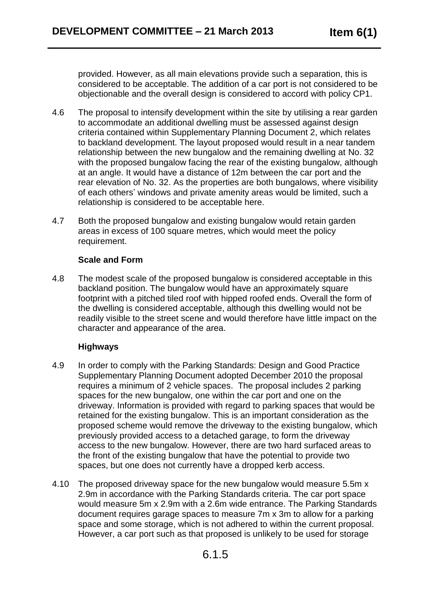provided. However, as all main elevations provide such a separation, this is considered to be acceptable. The addition of a car port is not considered to be objectionable and the overall design is considered to accord with policy CP1.

- 4.6 The proposal to intensify development within the site by utilising a rear garden to accommodate an additional dwelling must be assessed against design criteria contained within Supplementary Planning Document 2, which relates to backland development. The layout proposed would result in a near tandem relationship between the new bungalow and the remaining dwelling at No. 32 with the proposed bungalow facing the rear of the existing bungalow, although at an angle. It would have a distance of 12m between the car port and the rear elevation of No. 32. As the properties are both bungalows, where visibility of each others' windows and private amenity areas would be limited, such a relationship is considered to be acceptable here.
- 4.7 Both the proposed bungalow and existing bungalow would retain garden areas in excess of 100 square metres, which would meet the policy requirement.

#### **Scale and Form**

4.8 The modest scale of the proposed bungalow is considered acceptable in this backland position. The bungalow would have an approximately square footprint with a pitched tiled roof with hipped roofed ends. Overall the form of the dwelling is considered acceptable, although this dwelling would not be readily visible to the street scene and would therefore have little impact on the character and appearance of the area.

#### **Highways**

- 4.9 In order to comply with the Parking Standards: Design and Good Practice Supplementary Planning Document adopted December 2010 the proposal requires a minimum of 2 vehicle spaces. The proposal includes 2 parking spaces for the new bungalow, one within the car port and one on the driveway. Information is provided with regard to parking spaces that would be retained for the existing bungalow. This is an important consideration as the proposed scheme would remove the driveway to the existing bungalow, which previously provided access to a detached garage, to form the driveway access to the new bungalow. However, there are two hard surfaced areas to the front of the existing bungalow that have the potential to provide two spaces, but one does not currently have a dropped kerb access.
- 4.10 The proposed driveway space for the new bungalow would measure 5.5m x 2.9m in accordance with the Parking Standards criteria. The car port space would measure 5m x 2.9m with a 2.6m wide entrance. The Parking Standards document requires garage spaces to measure 7m x 3m to allow for a parking space and some storage, which is not adhered to within the current proposal. However, a car port such as that proposed is unlikely to be used for storage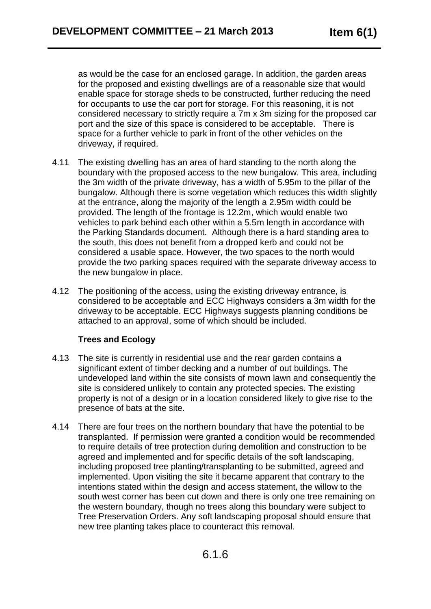as would be the case for an enclosed garage. In addition, the garden areas for the proposed and existing dwellings are of a reasonable size that would enable space for storage sheds to be constructed, further reducing the need for occupants to use the car port for storage. For this reasoning, it is not considered necessary to strictly require a 7m x 3m sizing for the proposed car port and the size of this space is considered to be acceptable. There is space for a further vehicle to park in front of the other vehicles on the driveway, if required.

- 4.11 The existing dwelling has an area of hard standing to the north along the boundary with the proposed access to the new bungalow. This area, including the 3m width of the private driveway, has a width of 5.95m to the pillar of the bungalow. Although there is some vegetation which reduces this width slightly at the entrance, along the majority of the length a 2.95m width could be provided. The length of the frontage is 12.2m, which would enable two vehicles to park behind each other within a 5.5m length in accordance with the Parking Standards document. Although there is a hard standing area to the south, this does not benefit from a dropped kerb and could not be considered a usable space. However, the two spaces to the north would provide the two parking spaces required with the separate driveway access to the new bungalow in place.
- 4.12 The positioning of the access, using the existing driveway entrance, is considered to be acceptable and ECC Highways considers a 3m width for the driveway to be acceptable. ECC Highways suggests planning conditions be attached to an approval, some of which should be included.

#### **Trees and Ecology**

- 4.13 The site is currently in residential use and the rear garden contains a significant extent of timber decking and a number of out buildings. The undeveloped land within the site consists of mown lawn and consequently the site is considered unlikely to contain any protected species. The existing property is not of a design or in a location considered likely to give rise to the presence of bats at the site.
- 4.14 There are four trees on the northern boundary that have the potential to be transplanted. If permission were granted a condition would be recommended to require details of tree protection during demolition and construction to be agreed and implemented and for specific details of the soft landscaping, including proposed tree planting/transplanting to be submitted, agreed and implemented. Upon visiting the site it became apparent that contrary to the intentions stated within the design and access statement, the willow to the south west corner has been cut down and there is only one tree remaining on the western boundary, though no trees along this boundary were subject to Tree Preservation Orders. Any soft landscaping proposal should ensure that new tree planting takes place to counteract this removal.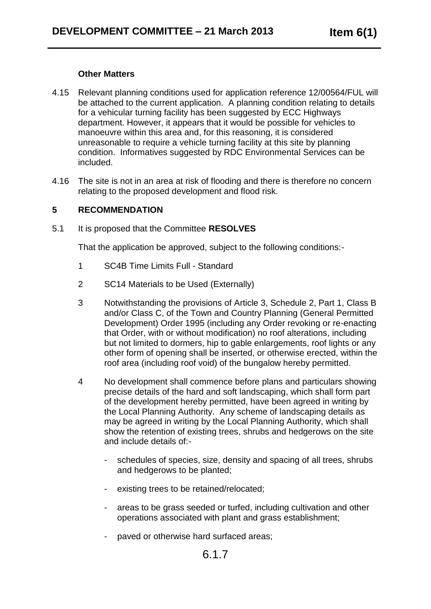#### **Other Matters**

- 4.15 Relevant planning conditions used for application reference 12/00564/FUL will be attached to the current application. A planning condition relating to details for a vehicular turning facility has been suggested by ECC Highways department. However, it appears that it would be possible for vehicles to manoeuvre within this area and, for this reasoning, it is considered unreasonable to require a vehicle turning facility at this site by planning condition. Informatives suggested by RDC Environmental Services can be included.
- 4.16 The site is not in an area at risk of flooding and there is therefore no concern relating to the proposed development and flood risk.

#### **5 RECOMMENDATION**

5.1 It is proposed that the Committee **RESOLVES**

That the application be approved, subject to the following conditions:-

- 1 SC4B Time Limits Full Standard
- 2 SC14 Materials to be Used (Externally)
- 3 Notwithstanding the provisions of Article 3, Schedule 2, Part 1, Class B and/or Class C, of the Town and Country Planning (General Permitted Development) Order 1995 (including any Order revoking or re-enacting that Order, with or without modification) no roof alterations, including but not limited to dormers, hip to gable enlargements, roof lights or any other form of opening shall be inserted, or otherwise erected, within the roof area (including roof void) of the bungalow hereby permitted.
- 4 No development shall commence before plans and particulars showing precise details of the hard and soft landscaping, which shall form part of the development hereby permitted, have been agreed in writing by the Local Planning Authority. Any scheme of landscaping details as may be agreed in writing by the Local Planning Authority, which shall show the retention of existing trees, shrubs and hedgerows on the site and include details of:-
	- schedules of species, size, density and spacing of all trees, shrubs and hedgerows to be planted;
	- existing trees to be retained/relocated;
	- areas to be grass seeded or turfed, including cultivation and other operations associated with plant and grass establishment;
	- paved or otherwise hard surfaced areas;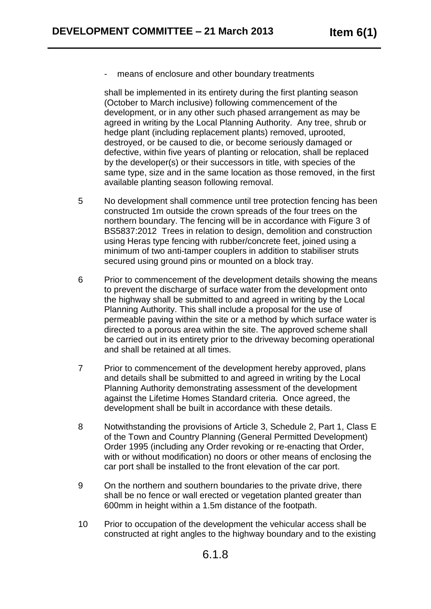means of enclosure and other boundary treatments

shall be implemented in its entirety during the first planting season (October to March inclusive) following commencement of the development, or in any other such phased arrangement as may be agreed in writing by the Local Planning Authority. Any tree, shrub or hedge plant (including replacement plants) removed, uprooted, destroyed, or be caused to die, or become seriously damaged or defective, within five years of planting or relocation, shall be replaced by the developer(s) or their successors in title, with species of the same type, size and in the same location as those removed, in the first available planting season following removal.

- 5 No development shall commence until tree protection fencing has been constructed 1m outside the crown spreads of the four trees on the northern boundary. The fencing will be in accordance with Figure 3 of BS5837:2012 Trees in relation to design, demolition and construction using Heras type fencing with rubber/concrete feet, joined using a minimum of two anti-tamper couplers in addition to stabiliser struts secured using ground pins or mounted on a block tray.
- 6 Prior to commencement of the development details showing the means to prevent the discharge of surface water from the development onto the highway shall be submitted to and agreed in writing by the Local Planning Authority. This shall include a proposal for the use of permeable paving within the site or a method by which surface water is directed to a porous area within the site. The approved scheme shall be carried out in its entirety prior to the driveway becoming operational and shall be retained at all times.
- 7 Prior to commencement of the development hereby approved, plans and details shall be submitted to and agreed in writing by the Local Planning Authority demonstrating assessment of the development against the Lifetime Homes Standard criteria. Once agreed, the development shall be built in accordance with these details.
- 8 Notwithstanding the provisions of Article 3, Schedule 2, Part 1, Class E of the Town and Country Planning (General Permitted Development) Order 1995 (including any Order revoking or re-enacting that Order, with or without modification) no doors or other means of enclosing the car port shall be installed to the front elevation of the car port.
- 9 On the northern and southern boundaries to the private drive, there shall be no fence or wall erected or vegetation planted greater than 600mm in height within a 1.5m distance of the footpath.
- 10 Prior to occupation of the development the vehicular access shall be constructed at right angles to the highway boundary and to the existing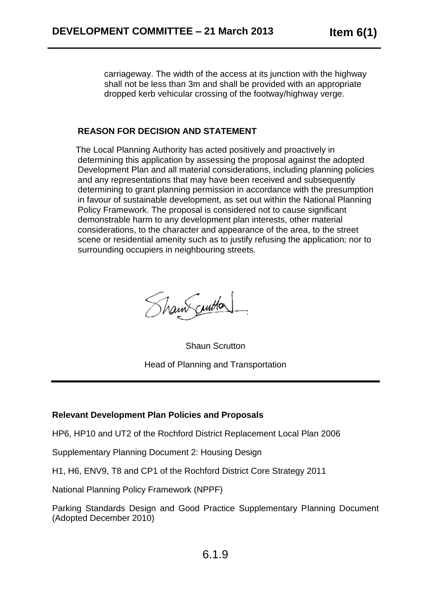carriageway. The width of the access at its junction with the highway shall not be less than 3m and shall be provided with an appropriate dropped kerb vehicular crossing of the footway/highway verge.

#### **REASON FOR DECISION AND STATEMENT**

 The Local Planning Authority has acted positively and proactively in determining this application by assessing the proposal against the adopted Development Plan and all material considerations, including planning policies and any representations that may have been received and subsequently determining to grant planning permission in accordance with the presumption in favour of sustainable development, as set out within the National Planning Policy Framework. The proposal is considered not to cause significant demonstrable harm to any development plan interests, other material considerations, to the character and appearance of the area, to the street scene or residential amenity such as to justify refusing the application; nor to surrounding occupiers in neighbouring streets.

Shaw curton

Shaun Scrutton Head of Planning and Transportation

## **Relevant Development Plan Policies and Proposals**

HP6, HP10 and UT2 of the Rochford District Replacement Local Plan 2006

Supplementary Planning Document 2: Housing Design

H1, H6, ENV9, T8 and CP1 of the Rochford District Core Strategy 2011

National Planning Policy Framework (NPPF)

Parking Standards Design and Good Practice Supplementary Planning Document (Adopted December 2010)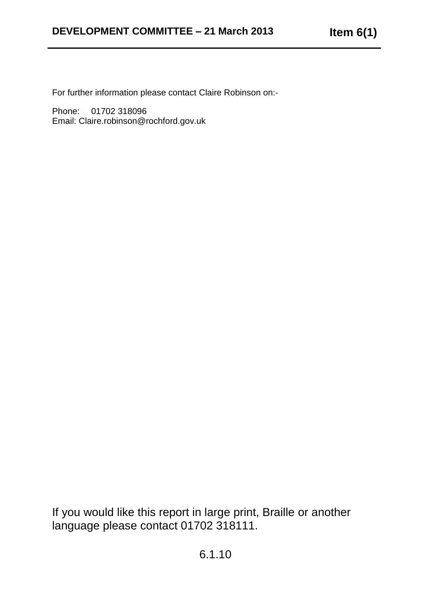For further information please contact Claire Robinson on:-

Phone: 01702 318096 Email: Claire.robinson@rochford.gov.uk

If you would like this report in large print, Braille or another language please contact 01702 318111.